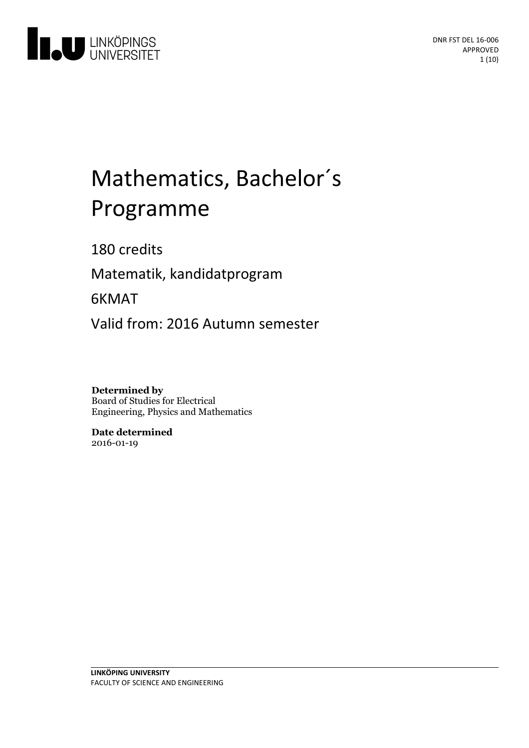

# Mathematics, Bachelor ´ s Programme

180 credits

Matematik, kandidatprogram

6KMAT

Valid from: 2016 Autumn semester

**Determined by** Board of Studies for Electrical Engineering, Physics and Mathematics

**Date determined** 2016-01-19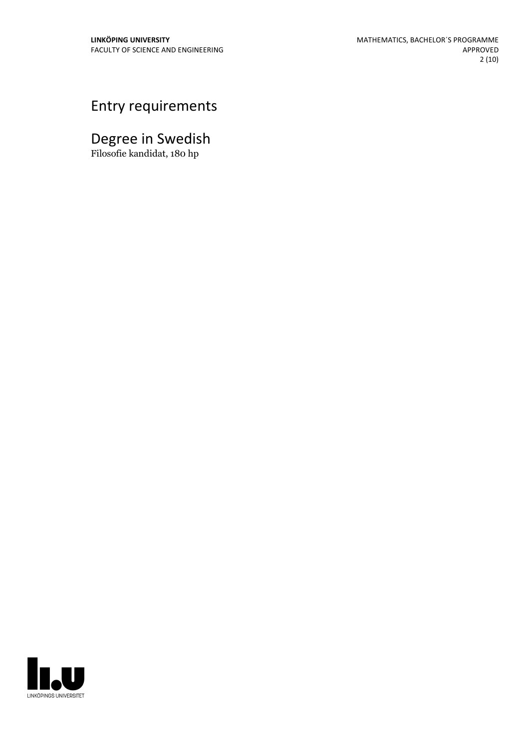# Entry requirements

# Degree in Swedish

Filosofie kandidat, 180 hp

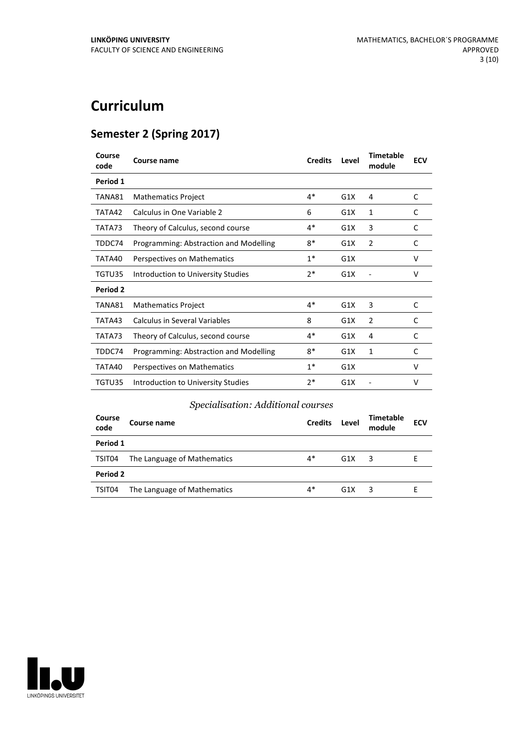# **Curriculum**

## **Semester 2 (Spring 2017)**

| Course<br>code  | Course name                            | <b>Credits</b> | Level | <b>Timetable</b><br>module | <b>ECV</b> |
|-----------------|----------------------------------------|----------------|-------|----------------------------|------------|
| Period 1        |                                        |                |       |                            |            |
| TANA81          | <b>Mathematics Project</b>             | $4*$           | G1X   | 4                          | C          |
| TATA42          | Calculus in One Variable 2             | 6              | G1X   | $\mathbf{1}$               | C          |
| TATA73          | Theory of Calculus, second course      | 4*             | G1X   | 3                          | C          |
| TDDC74          | Programming: Abstraction and Modelling | 8*             | G1X   | $\overline{2}$             | C          |
| TATA40          | Perspectives on Mathematics            | $1*$           | G1X   |                            | V          |
| TGTU35          | Introduction to University Studies     | $2*$           | G1X   |                            | v          |
| <b>Period 2</b> |                                        |                |       |                            |            |
| TANA81          | <b>Mathematics Project</b>             | $4*$           | G1X   | 3                          | C          |
| TATA43          | <b>Calculus in Several Variables</b>   | 8              | G1X   | $\overline{2}$             | C          |
| TATA73          | Theory of Calculus, second course      | $4*$           | G1X   | 4                          | C          |
| TDDC74          | Programming: Abstraction and Modelling | 8*             | G1X   | $\mathbf{1}$               | C          |
| TATA40          | Perspectives on Mathematics            | $1*$           | G1X   |                            | V          |
| TGTU35          | Introduction to University Studies     | $2*$           | G1X   |                            | v          |

#### *Specialisation: Additional courses*

| Course<br>code | Course name                 | <b>Credits</b> | Level | <b>Timetable</b><br>module | <b>ECV</b> |  |  |
|----------------|-----------------------------|----------------|-------|----------------------------|------------|--|--|
| Period 1       |                             |                |       |                            |            |  |  |
| TSIT04         | The Language of Mathematics | 4*             | G1X   | 3                          | F          |  |  |
| Period 2       |                             |                |       |                            |            |  |  |
| TSIT04         | The Language of Mathematics | 4*             | G1X   | ર                          |            |  |  |

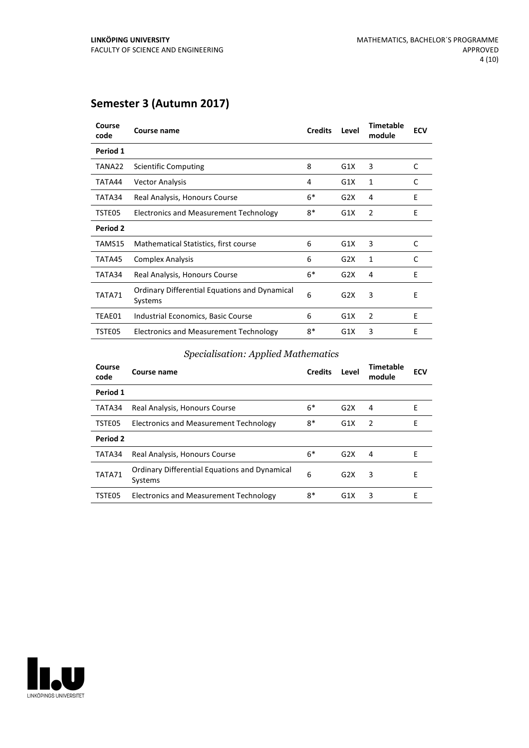## **Semester 3 (Autumn 2017)**

| Course<br>code | Course name                                                     | <b>Credits</b> | Level | <b>Timetable</b><br>module | <b>ECV</b> |
|----------------|-----------------------------------------------------------------|----------------|-------|----------------------------|------------|
| Period 1       |                                                                 |                |       |                            |            |
| TANA22         | Scientific Computing                                            | 8              | G1X   | 3                          | C          |
| TATA44         | <b>Vector Analysis</b>                                          | 4              | G1X   | 1                          | C          |
| TATA34         | Real Analysis, Honours Course                                   | $6*$           | G2X   | 4                          | E          |
| TSTE05         | Electronics and Measurement Technology                          | $8*$           | G1X   | 2                          | E          |
| Period 2       |                                                                 |                |       |                            |            |
| TAMS15         | Mathematical Statistics, first course                           | 6              | G1X   | 3                          | C          |
| TATA45         | <b>Complex Analysis</b>                                         | 6              | G2X   | 1                          | C          |
| TATA34         | Real Analysis, Honours Course                                   | $6*$           | G2X   | 4                          | E          |
| TATA71         | <b>Ordinary Differential Equations and Dynamical</b><br>Systems | 6              | G2X   | 3                          | E          |
| TEAE01         | Industrial Economics, Basic Course                              | 6              | G1X   | 2                          | E          |
| TSTE05         | Electronics and Measurement Technology                          | $8*$           | G1X   | 3                          | E          |

#### *Specialisation: Applied Mathematics*

| Course<br>code | Course name                                                     | <b>Credits</b> | Level | Timetable<br>module | <b>ECV</b> |
|----------------|-----------------------------------------------------------------|----------------|-------|---------------------|------------|
| Period 1       |                                                                 |                |       |                     |            |
| TATA34         | Real Analysis, Honours Course                                   | $6*$           | G2X   | 4                   | E          |
| TSTE05         | Electronics and Measurement Technology                          | 8*             | G1X   | $\overline{2}$      | Е          |
| Period 2       |                                                                 |                |       |                     |            |
| TATA34         | Real Analysis, Honours Course                                   | $6*$           | G2X   | 4                   | Е          |
| TATA71         | <b>Ordinary Differential Equations and Dynamical</b><br>Systems | 6              | G2X   | 3                   | F          |
| TSTE05         | Electronics and Measurement Technology                          | 8*             | G1X   | 3                   | E          |
|                |                                                                 |                |       |                     |            |

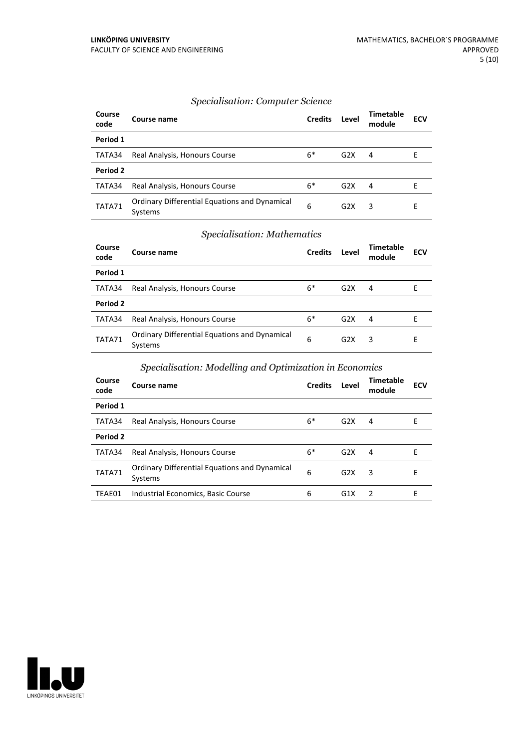#### *Specialisation: Computer Science*

| Course<br>code | Course name                                                     | <b>Credits</b> | Level            | Timetable<br>module | <b>ECV</b> |
|----------------|-----------------------------------------------------------------|----------------|------------------|---------------------|------------|
| Period 1       |                                                                 |                |                  |                     |            |
| TATA34         | Real Analysis, Honours Course                                   | $6*$           | G <sub>2</sub> X | 4                   |            |
| Period 2       |                                                                 |                |                  |                     |            |
| TATA34         | Real Analysis, Honours Course                                   | $6*$           | G2X              | 4                   | F          |
| TATA71         | <b>Ordinary Differential Equations and Dynamical</b><br>Systems | 6              | G2X              | 3                   | F          |

#### *Specialisation: Mathematics*

| Course<br>code | Course name                                              | <b>Credits</b> | Level | <b>Timetable</b><br>module | <b>ECV</b> |
|----------------|----------------------------------------------------------|----------------|-------|----------------------------|------------|
| Period 1       |                                                          |                |       |                            |            |
| TATA34         | Real Analysis, Honours Course                            | $6*$           | G2X   | 4                          | Е          |
| Period 2       |                                                          |                |       |                            |            |
| TATA34         | Real Analysis, Honours Course                            | $6*$           | G2X   | 4                          | F          |
| TATA71         | Ordinary Differential Equations and Dynamical<br>Systems | 6              | G2X   | 3                          | F          |

#### *Specialisation: Modelling and Optimization in Economics*

| Course<br>code | Course name                                              | <b>Credits</b> | Level | Timetable<br>module | <b>ECV</b> |
|----------------|----------------------------------------------------------|----------------|-------|---------------------|------------|
| Period 1       |                                                          |                |       |                     |            |
| TATA34         | Real Analysis, Honours Course                            | $6*$           | G2X   | 4                   | F          |
| Period 2       |                                                          |                |       |                     |            |
| TATA34         | Real Analysis, Honours Course                            | $6*$           | G2X   | 4                   | F          |
| TATA71         | Ordinary Differential Equations and Dynamical<br>Systems | 6              | G2X   | 3                   | F          |
| TEAE01         | Industrial Economics, Basic Course                       | 6              | G1X   | $\overline{z}$      | F          |

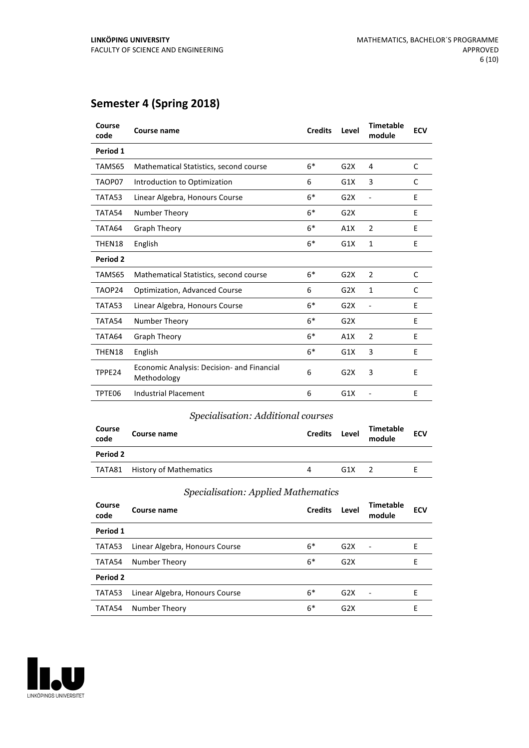## **Semester 4 (Spring 2018)**

| Course<br>code | Course name                                               | <b>Credits</b> | Level | <b>Timetable</b><br>module | <b>ECV</b> |
|----------------|-----------------------------------------------------------|----------------|-------|----------------------------|------------|
| Period 1       |                                                           |                |       |                            |            |
| TAMS65         | Mathematical Statistics, second course                    | $6*$           | G2X   | 4                          | C          |
| TAOP07         | Introduction to Optimization                              | 6              | G1X   | 3                          | C          |
| TATA53         | Linear Algebra, Honours Course                            | $6*$           | G2X   | Ē,                         | E          |
| TATA54         | Number Theory                                             | $6*$           | G2X   |                            | E          |
| TATA64         | Graph Theory                                              | $6*$           | A1X   | 2                          | E          |
| THEN18         | English                                                   | $6*$           | G1X   | $\mathbf{1}$               | E          |
| Period 2       |                                                           |                |       |                            |            |
| TAMS65         | Mathematical Statistics, second course                    | $6*$           | G2X   | $\overline{2}$             | C          |
| TAOP24         | <b>Optimization, Advanced Course</b>                      | 6              | G2X   | $\mathbf{1}$               | C          |
| TATA53         | Linear Algebra, Honours Course                            | $6*$           | G2X   | $\overline{\phantom{a}}$   | E          |
| TATA54         | Number Theory                                             | $6*$           | G2X   |                            | E          |
| TATA64         | <b>Graph Theory</b>                                       | $6*$           | A1X   | $\overline{2}$             | E          |
| THEN18         | English                                                   | $6*$           | G1X   | 3                          | E          |
| TPPE24         | Economic Analysis: Decision- and Financial<br>Methodology | 6              | G2X   | 3                          | E          |
| TPTE06         | <b>Industrial Placement</b>                               | 6              | G1X   |                            | E          |

#### *Specialisation: Additional courses*

| Course<br>code | Course name                   | <b>Credits</b> | Level | <b>Timetable</b><br>module | <b>ECV</b> |
|----------------|-------------------------------|----------------|-------|----------------------------|------------|
| Period 2       |                               |                |       |                            |            |
|                | TATA81 History of Mathematics | 4              | G1X   |                            |            |

#### *Specialisation: Applied Mathematics*

| Course<br>code | Course name                    | <b>Credits</b> | Level | <b>Timetable</b><br>module | <b>ECV</b> |
|----------------|--------------------------------|----------------|-------|----------------------------|------------|
| Period 1       |                                |                |       |                            |            |
| TATA53         | Linear Algebra, Honours Course | $6*$           | G2X   |                            | F          |
| TATA54         | Number Theory                  | $6*$           | G2X   |                            | F          |
| Period 2       |                                |                |       |                            |            |
| TATA53         | Linear Algebra, Honours Course | $6*$           | G2X   |                            | F          |
| TATA54         | Number Theory                  | $6*$           | G2X   |                            | F          |

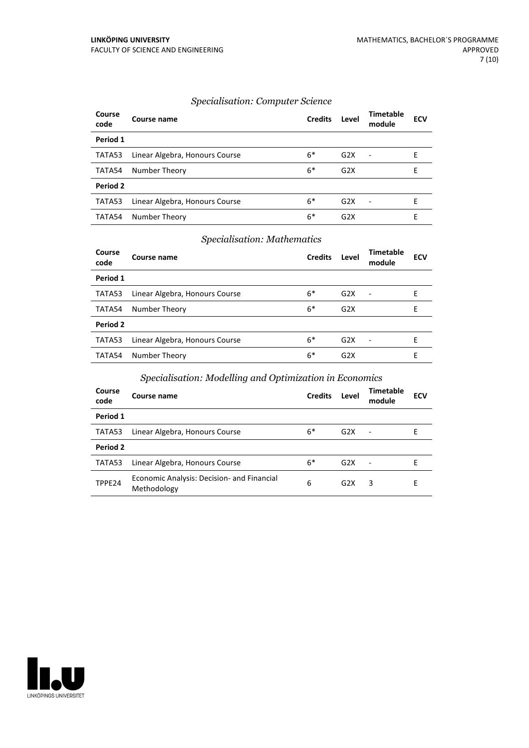#### *Specialisation: Computer Science*

| Course<br>code | Course name                    | <b>Credits</b> | Level            | <b>Timetable</b><br>module | <b>ECV</b> |
|----------------|--------------------------------|----------------|------------------|----------------------------|------------|
| Period 1       |                                |                |                  |                            |            |
| TATA53         | Linear Algebra, Honours Course | $6*$           | G <sub>2</sub> X | $\overline{\phantom{a}}$   | F          |
| TATA54         | Number Theory                  | $6*$           | G2X              |                            | E          |
| Period 2       |                                |                |                  |                            |            |
| TATA53         | Linear Algebra, Honours Course | $6*$           | G2X              | $\overline{\phantom{a}}$   | F          |
| TATA54         | Number Theory                  | 6*             | G2X              |                            | Е          |

#### *Specialisation: Mathematics*

| Course<br>code | Course name                    | <b>Credits</b> | Level            | <b>Timetable</b><br>module | <b>ECV</b> |
|----------------|--------------------------------|----------------|------------------|----------------------------|------------|
| Period 1       |                                |                |                  |                            |            |
| TATA53         | Linear Algebra, Honours Course | $6*$           | G2X              | $\sim$                     | Е          |
| TATA54         | Number Theory                  | $6*$           | G2X              |                            | Е          |
| Period 2       |                                |                |                  |                            |            |
| TATA53         | Linear Algebra, Honours Course | $6*$           | G2X              | $\overline{\phantom{a}}$   | F          |
| TATA54         | Number Theory                  | 6*             | G <sub>2</sub> X |                            | Е          |

#### *Specialisation: Modelling and Optimization in Economics*

| Course<br>code | Course name                                               | <b>Credits</b> | Level | <b>Timetable</b><br>module | <b>ECV</b> |
|----------------|-----------------------------------------------------------|----------------|-------|----------------------------|------------|
| Period 1       |                                                           |                |       |                            |            |
| TATA53         | Linear Algebra, Honours Course                            | $6*$           | G2X   | $\overline{\phantom{a}}$   |            |
| Period 2       |                                                           |                |       |                            |            |
| TATA53         | Linear Algebra, Honours Course                            | $6*$           | G2X   |                            | F          |
| TPPE24         | Economic Analysis: Decision- and Financial<br>Methodology | 6              | G2X   | 3                          | Е          |

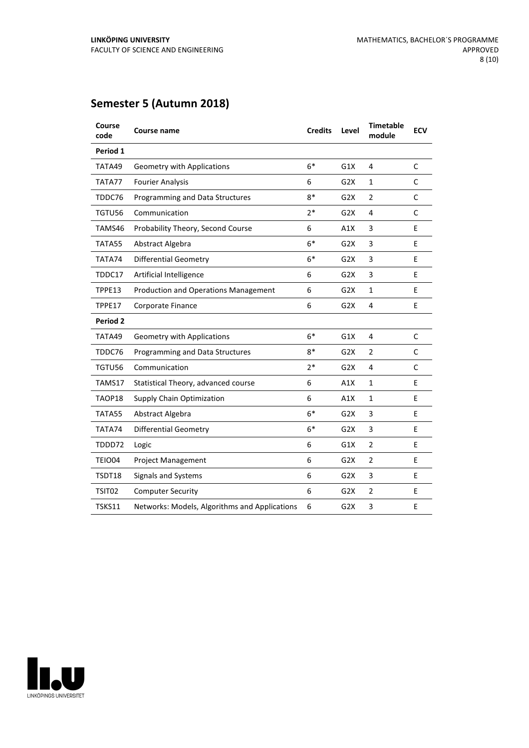# **Semester 5 (Autumn 2018)**

| Course<br>code  | <b>Course name</b>                            | <b>Credits</b> | Level            | <b>Timetable</b><br>module | <b>ECV</b>   |
|-----------------|-----------------------------------------------|----------------|------------------|----------------------------|--------------|
| Period 1        |                                               |                |                  |                            |              |
| TATA49          | <b>Geometry with Applications</b>             | $6*$           | G1X              | 4                          | C            |
| TATA77          | <b>Fourier Analysis</b>                       | 6              | G <sub>2</sub> X | 1                          | C            |
| TDDC76          | Programming and Data Structures               | 8*             | G <sub>2</sub> X | $\overline{2}$             | C            |
| TGTU56          | Communication                                 | $2*$           | G <sub>2</sub> X | 4                          | C            |
| TAMS46          | Probability Theory, Second Course             | 6              | A1X              | 3                          | E            |
| TATA55          | Abstract Algebra                              | $6*$           | G <sub>2</sub> X | 3                          | E            |
| TATA74          | <b>Differential Geometry</b>                  | $6*$           | G <sub>2</sub> X | 3                          | E            |
| TDDC17          | Artificial Intelligence                       | 6              | G <sub>2</sub> X | 3                          | E            |
| TPPE13          | Production and Operations Management          | 6              | G <sub>2</sub> X | 1                          | E            |
| TPPE17          | Corporate Finance                             | 6              | G2X              | 4                          | E            |
| <b>Period 2</b> |                                               |                |                  |                            |              |
| TATA49          | <b>Geometry with Applications</b>             | $6*$           | G1X              | 4                          | $\mathsf{C}$ |
| TDDC76          | Programming and Data Structures               | $8*$           | G <sub>2</sub> X | $\overline{2}$             | C            |
| TGTU56          | Communication                                 | $2*$           | G <sub>2</sub> X | 4                          | C            |
| TAMS17          | Statistical Theory, advanced course           | 6              | A1X              | $\mathbf{1}$               | E            |
| TAOP18          | <b>Supply Chain Optimization</b>              | 6              | A1X              | $\mathbf{1}$               | E            |
| TATA55          | Abstract Algebra                              | $6*$           | G <sub>2</sub> X | 3                          | E            |
| TATA74          | <b>Differential Geometry</b>                  | $6*$           | G2X              | 3                          | E            |
| TDDD72          | Logic                                         | 6              | G1X              | $\overline{2}$             | E            |
| <b>TEIO04</b>   | Project Management                            | 6              | G <sub>2</sub> X | $\overline{2}$             | Е            |
| TSDT18          | <b>Signals and Systems</b>                    | 6              | G <sub>2</sub> X | 3                          | E            |
| TSIT02          | <b>Computer Security</b>                      | 6              | G <sub>2</sub> X | $\overline{2}$             | E            |
| <b>TSKS11</b>   | Networks: Models, Algorithms and Applications | 6              | G <sub>2</sub> X | 3                          | E            |
|                 |                                               |                |                  |                            |              |

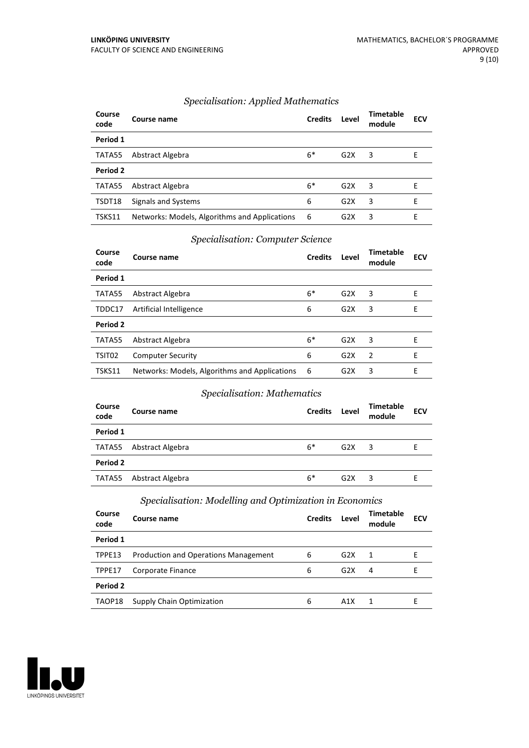| Course<br>code | Course name                                   | <b>Credits</b> | Level            | <b>Timetable</b><br>module | <b>ECV</b> |
|----------------|-----------------------------------------------|----------------|------------------|----------------------------|------------|
| Period 1       |                                               |                |                  |                            |            |
| TATA55         | Abstract Algebra                              | $6*$           | G2X              | 3                          | E          |
| Period 2       |                                               |                |                  |                            |            |
| TATA55         | Abstract Algebra                              | $6*$           | G2X              | 3                          | F          |
| TSDT18         | Signals and Systems                           | 6              | G2X              | 3                          | F          |
| TSKS11         | Networks: Models, Algorithms and Applications | 6              | G <sub>2</sub> X | 3                          | F          |

#### *Specialisation: Applied Mathematics*

#### *Specialisation: Computer Science*

| Course<br>code | Course name                                   | <b>Credits</b> | Level | Timetable<br>module | <b>ECV</b> |
|----------------|-----------------------------------------------|----------------|-------|---------------------|------------|
| Period 1       |                                               |                |       |                     |            |
| TATA55         | Abstract Algebra                              | $6*$           | G2X   | 3                   | Е          |
| TDDC17         | Artificial Intelligence                       | 6              | G2X   | 3                   | E          |
| Period 2       |                                               |                |       |                     |            |
| TATA55         | Abstract Algebra                              | $6*$           | G2X   | 3                   | E          |
| TSIT02         | <b>Computer Security</b>                      | 6              | G2X   | 2                   | E          |
| TSKS11         | Networks: Models, Algorithms and Applications | -6             | G2X   | 3                   | F          |

#### *Specialisation: Mathematics*

| Course<br>code | Course name      | <b>Credits</b> | Level | <b>Timetable</b><br>module | <b>ECV</b> |
|----------------|------------------|----------------|-------|----------------------------|------------|
| Period 1       |                  |                |       |                            |            |
| TATA55         | Abstract Algebra | $6*$           | G2X   | 3                          | F          |
| Period 2       |                  |                |       |                            |            |
| TATA55         | Abstract Algebra | $6*$           | G2X   | 3                          |            |

#### *Specialisation: Modelling and Optimization in Economics*

| Course<br>code | Course name                                 | <b>Credits</b> | Level            | Timetable<br>module | <b>ECV</b> |
|----------------|---------------------------------------------|----------------|------------------|---------------------|------------|
| Period 1       |                                             |                |                  |                     |            |
| TPPE13         | <b>Production and Operations Management</b> | 6              | G2X              | -1                  | F          |
| TPPE17         | Corporate Finance                           | 6              | G <sub>2</sub> X | 4                   | F          |
| Period 2       |                                             |                |                  |                     |            |
| TAOP18         | Supply Chain Optimization                   | 6              | A1X              |                     |            |